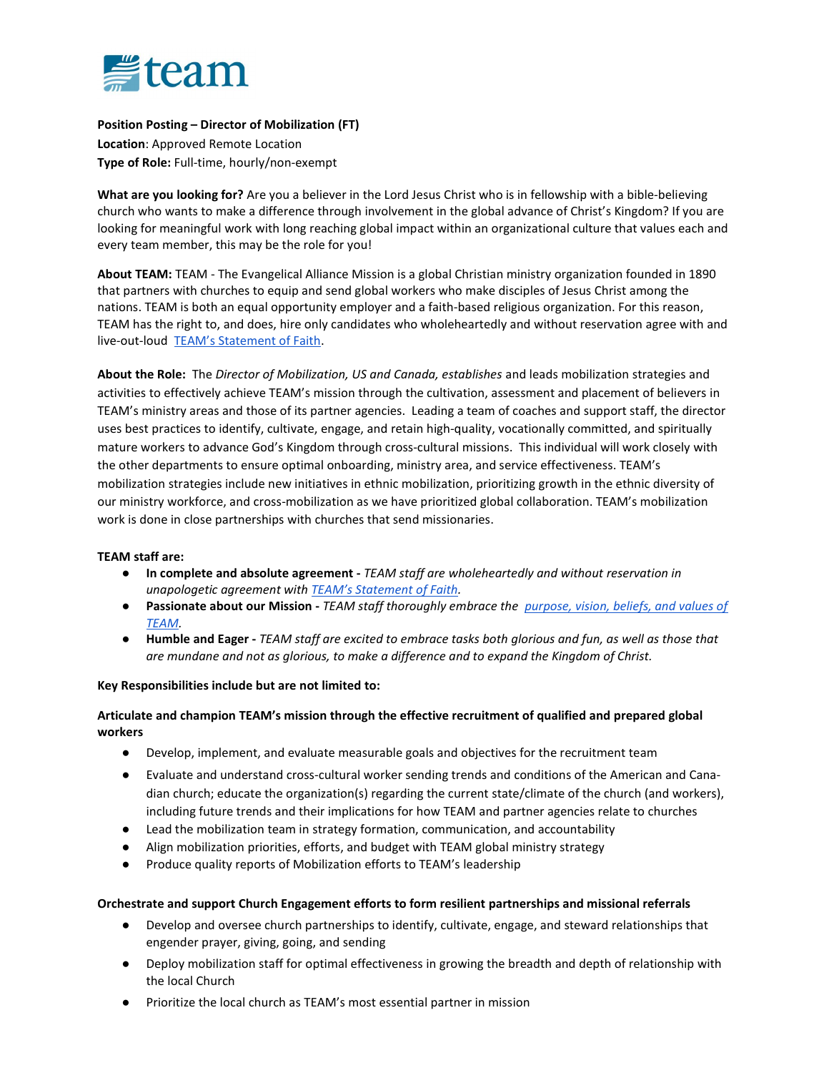

Position Posting – Director of Mobilization (FT) Location: Approved Remote Location Type of Role: Full-time, hourly/non-exempt

What are you looking for? Are you a believer in the Lord Jesus Christ who is in fellowship with a bible-believing church who wants to make a difference through involvement in the global advance of Christ's Kingdom? If you are looking for meaningful work with long reaching global impact within an organizational culture that values each and every team member, this may be the role for you!

About TEAM: TEAM - The Evangelical Alliance Mission is a global Christian ministry organization founded in 1890 that partners with churches to equip and send global workers who make disciples of Jesus Christ among the nations. TEAM is both an equal opportunity employer and a faith-based religious organization. For this reason, TEAM has the right to, and does, hire only candidates who wholeheartedly and without reservation agree with and live-out-loud TEAM's Statement of Faith.

About the Role: The Director of Mobilization, US and Canada, establishes and leads mobilization strategies and activities to effectively achieve TEAM's mission through the cultivation, assessment and placement of believers in TEAM's ministry areas and those of its partner agencies. Leading a team of coaches and support staff, the director uses best practices to identify, cultivate, engage, and retain high-quality, vocationally committed, and spiritually mature workers to advance God's Kingdom through cross-cultural missions. This individual will work closely with the other departments to ensure optimal onboarding, ministry area, and service effectiveness. TEAM's mobilization strategies include new initiatives in ethnic mobilization, prioritizing growth in the ethnic diversity of our ministry workforce, and cross-mobilization as we have prioritized global collaboration. TEAM's mobilization work is done in close partnerships with churches that send missionaries.

### TEAM staff are:

- In complete and absolute agreement TEAM staff are wholeheartedly and without reservation in unapologetic agreement with TEAM's Statement of Faith.
- Passionate about our Mission TEAM staff thoroughly embrace the purpose, vision, beliefs, and values of TEAM.
- Humble and Eager TEAM staff are excited to embrace tasks both glorious and fun, as well as those that are mundane and not as glorious, to make a difference and to expand the Kingdom of Christ.

### Key Responsibilities include but are not limited to:

## Articulate and champion TEAM's mission through the effective recruitment of qualified and prepared global workers

- Develop, implement, and evaluate measurable goals and objectives for the recruitment team
- Evaluate and understand cross-cultural worker sending trends and conditions of the American and Canadian church; educate the organization(s) regarding the current state/climate of the church (and workers), including future trends and their implications for how TEAM and partner agencies relate to churches
- Lead the mobilization team in strategy formation, communication, and accountability
- Align mobilization priorities, efforts, and budget with TEAM global ministry strategy
- Produce quality reports of Mobilization efforts to TEAM's leadership

## Orchestrate and support Church Engagement efforts to form resilient partnerships and missional referrals

- Develop and oversee church partnerships to identify, cultivate, engage, and steward relationships that engender prayer, giving, going, and sending
- Deploy mobilization staff for optimal effectiveness in growing the breadth and depth of relationship with the local Church
- Prioritize the local church as TEAM's most essential partner in mission